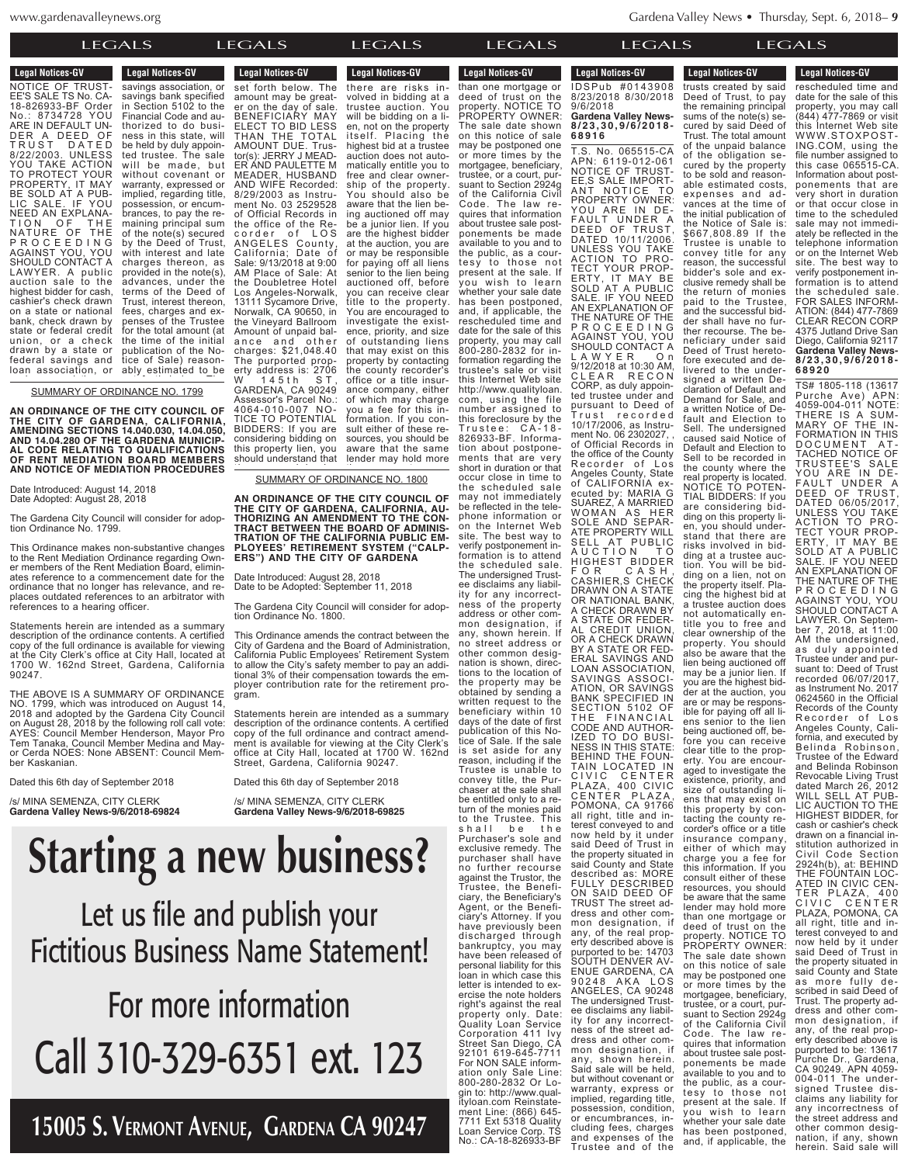ews.org

**Legal Notices-GV** NOTICE OF TRUST-EE'S SALE TS No. CA-18-826933-BF Order No.: 8734728 YOU ARE IN DEFAULT UN-DER A DEED OF<br>TRUST DATED TRUST DATED 8/22/2003. UNLESS YOU TAKE ACTION TO PROTECT YOUR PROPERTY, IT MAY **BE SOLD AT A PUB-**<br>BE SOLD AT A PUB-<br>LIC SALE. IF YOU LIC SALE. IF YOU NEED AN EXPLANA-TION OF THE NATURE OF THE P R O C E E D I N G AGAINST YOU, YOU SHOULD CONTACT A LAWYER. A public auction sale to the highest bidder for cash, cashier's check drawn on a state or national bank, check drawn by state or federal credit union, or a check drawn by a state or federal savings and loan association, or savings association, or

*Legal Notices-GV* Legal Nutres-GV savings association, or savings bank specified in Section 5102 to the Financial Code and authorized to do business in this state, will be held by duly appointed trustee. The sale will be made, but without covenant or warranty, expressed or implied, regarding title, possession, or encumbrances, to pay the remaining principal sum of the note(s) secured by the Deed of Trust, with interest and late charges thereon, as provided in the note(s), advances, under the terms of the Deed of Trust, interest thereon, fees, charges and expenses of the Trustee for the total amount (at the time of the initial publication of the Notice of Sale) reasonably estimated to be set forth below. The <u>er on the day of sale.</u>

<u>bank, check drawn by</u>  $\mathbf{A} \mathbf{I} \mathbf{C}$  credit credit credit credit credit credit credit credit credit credit credit credit credit credit credit credit credit credit credit credit credit credit credit credit credit credit credit credit cred  $\mathcal{L}$ 

### SUMMARY OF ORDINANCE NO. 1799 <u>in Section 5102 to</u>

**AN ORDINANCE OF THE CITY COUNCIL OF THE CITY OF GARDENA, CALIFORNIA, AMENDING SECTIONS 14.040.030, 14.04.050, AND 14.04.280 OF THE GARDENA MUNICIP-AL CODE RELATING TO QUALIFICATIONS OF RENT MEDIATION BOARD MEMBERS AND NOTICE OF MEDIATION PROCEDURES IE CITY COUNCIL OF** ENA. CALIFORNIA. 14.040.030, 14.04.050. **GARDENA MUNICIP-TO QUALIFICATIONS BOARD MEMBERS ATION PROCEDURES** AND WIFE Recorded: AN ORDINANCE OF THE CITY OF GAR **AMENDING SECTION** AND 14.04.280 OF TH AL CODE RELATING OF RENT MEDIATIC AND NOTICE OF MED warranty, expressed or

Date Introduced: August 14, 2018 Date Adopted: August 28, 2018 4.2018 **as Instruments**  $2018$ Date Introduced: August Date Adopted: August 2

The Gardena City Council will consider for adoption Ordinance No. 1799. I will consider for adopc o r d e r o f L O S S e r o f L O S S e r o f L O S S e r o f L O S S E F L O S S E F L O S S E F L O S S E brances, to pay the re-The Gardena City Cour tion Ordinance No. 179

This Ordinance makes non-substantive changes to the Rent Mediation Ordinance regarding Owner members of the Rent Mediation Board, eliminates reference to a commencement date for the ordinance that no longer has relevance, and replaces outdated references to an arbitrator with references to a hearing officer. penses of the Trustee

Statements herein are intended as a summary description of the ordinance contents. A certified copy of the full ordinance is available for viewing at the City Clerk's office at City Hall, located at 1700 W. 162nd Street, Gardena, California 90247. is available for viewing at City Hall, located at  $\mathcal{L} \left( \mathcal{L} \right)$  ,  $\mathcal{L} \left( \mathcal{L} \right)$  ,  $\mathcal{L} \left( \mathcal{L} \right)$ copy of the full ordinano at the City Clerk's offic  $1700$  W.  $162$ nd Stree  $90247.$ 

THE ABOVE IS A SUMMARY OF ORDINANCE NO. 1799, which was introduced on August 14, 2018 and adopted by the Gardena City Council on August 28, 2018 by the following roll call vote: AYES: Council Member Henderson, Mayor Pro Tem Tanaka, Council Member Medina and Mayor Cerda NOES: None ABSENT: Council Member Kaskanian. roduced on August 14. **Gardena City Council** e following roll call vote: Henderson. Mavor Pro NO. 1799. which was i  $2018$  and adopted by t  $\overline{0}$ n August 28, 2018 by AYES: Council Membe or Cerda NOES: None

Dated this 6th day of September 2018  $\mathcal{L}$  .  $\mathcal{L}$  2529528952952885295288528952885289528852895288528952885289528

/s/ MINA SEMENZA, CITY CLERK **Gardena Valley News-9/6/2018-69824** CLERK **CLERK** it self-0.9824 /s/ MINA SEMENZA, CI Gardena Valley Newsc o r d e r o f L O S

ANGELES Count y ,

ship of the property.

**Legal Notices-GV** publication of the No- $E$ gal Nutlugs-GV set forth below. The amount may be greater on the day of sale. BENEFICIARY MAY ELECT TO BID LESS THAN THE TOTAL AMOUNT DUE. Trustor(s): JERRY J MEAD-ER AND PAULETTE M MEADER, HUSBAND AND WIFE Recorded: 8/29/2003 as Instrument No. 03 2529528 of Official Records in the office of the Recorder of LOS ANGELES County, California; Date of Sale: 9/13/2018 at 9:00 AM Place of Sale: At the Doubletree Hotel Los Angeles-Norwalk, 13111 Sycamore Drive, Norwalk, CA 90650, in the Vineyard Ballroom Amount of unpaid balance and other charges: \$21,048.40 The purported property address is: 2706 W 145 th ST, GARDENA, CA 90249 Assessor's Parcel No.: drawn by a state or

penses of the Trustee  $\overline{G}$  and  $\overline{G}$  $t_{\rm max}$ 

**Legal Notices-GV** Legal Nutles-GV there are risks involved in bidding at a<br>trustee auction. You trustee auction will be bidding on a lien, not on the property itself. Placing the highest bid at a trustee auction does not automatically entitle you to free and clear ownership of the property. You should also be aware that the lien being auctioned off may be a junior lien. If you are the highest bidder at the auction, you are or may be responsible for paying off all liens senior to the lien being auctioned off, before you can receive clear title to the property. You are encouraged to investigate the existence, priority, and size of outstanding liens that may exist on this property by contacting the county recorder's office or a title insurance company, either of which may charge you a fee for this information. If you consult either of these resources, you should be aware that the same lender may hold more than one mortgage or 4064-010-007 NO-TICE TO POTENTIAL BIDDERS: If you are considering bidding on this property lien, you should understand that there are risks in-

4064-010-007 NO- $TCTAYC$ LEUAL<sub>3</sub> considering bidding on

LEGALS LEGALS LEGALS LEGALS LEGALS LEGALS

**Legal Notices-GV** 

 $\mathcal{L}_{\mathcal{A}}$  is the form of the form of the form  $\sqrt{1 + C}$ LEGALS sources, you should be Legal notices-dv

SUMMARY OF ORDINANCE NO. 1800 SUMMARY OF ORDINANCE NO. 1800 trustee auction. You

**AN ORDINANCE OF THE CITY COUNCIL OF THE CITY OF GARDENA, CALIFORNIA, AU-THORIZING AN AMENDMENT TO THE CON-TRACT BETWEEN THE BOARD OF ADMINIS-TRATION OF THE CALIFORNIA PUBLIC EM-PLOYEES' RETIREMENT SYSTEM ("CALP-ERS") AND THE CITY OF GARDENA** A, CALIFORNIA, AU-**DMENT TO THE CON-BOARD OF ADMINIS-FORNIA PUBLIC EM-NT SYSTEM ("CALP-**OF GARDENA THE CITY OF GARDE THORIZING AN AMEI TRACT BETWEEN TH TRATION OF THE CA PLOYEES' RETIREM ERS") AND THE CIT

Date Introduced: August 28, 2018 Date to be Adopted: September 11, 2018  $\alpha$ , 2018 ember 11, 2018 Date Introduced: Augus Date to be Adopted: Ser

ship of the property.

The Gardena City Council will consider for adoption Ordinance No. 1800. I will consider for adopponements be made ing auctioned off may The Gardena City Cour tion Ordinance No. 180

This Ordinance amends the contract between the City of Gardena and the Board of Administration, California Public Employees' Retirement System to allow the City's safety member to pay an additional 3% of their compensation towards the employer contribution rate for the retirement pro-.<br>gram. nember to pay an addito allow the City's safety member to pay an addi-<br>tional 3% of their compensation towards the emand, if applicable, the investigate the exist-

Statements herein are intended as a summary description of the ordinance contents. A certified copy of the full ordinance and contract amendment is available for viewing at the City Clerk's office at City Hall, located at 1700 W. 162nd Street, Gardena, California 90247. ce contents. A certified description of the ordinance contents. A certified<br>copy of the full ordinance and contract amendving at the City Clerk's ed at 1700 W. 162nd nia 90247. copy of the full ordinar ment is available for vi office at City Hall, loo Street, Gardena, Cali

beneficiary within 10

Trustee is unable to

Dated this 6th day of September 2018 /s/ MINA SEMENZA, CITY CLERK  $\mathcal{L}_{\text{max}}$  and the form of the form

Gardena Valley News-9/6/2018-69825 sources, you should be

Starting a new business? Let us file and publish your Fictitious Business Name Statement! the scheduled sale on the Internet Web site. The best way to verify postponement information is to attend tomantl l te under T ee disclaims any liabiladdress or other comw hus property. NOTICE TO on this notice of sale muhlich v - DUDIISH V publicity, trustee, or a court, pur-Namo Sta of the California Civil code. The law reabout trustee sale post $f_{\text{e}}$  made  $f_{\text{e}}$  $n\sigma$  and  $\mathbf{u}$  in aware that the lien being auctioned off may be a junior lien. If you have  $\overline{\mathbf{a}}$  is the highest bid us me and as me ans for paying off all liens  $\cdot$  Disconsiders a dusiliess  $\epsilon$   $\sim$   $\epsilon$   $\sim$   $\epsilon$   $\sim$   $\epsilon$ You are encouraged to  $\epsilon$  in version the exist-Starti the Doublett the Vineyard Ballroom Amount of unpaid bala n d o t e a n d o t h e r charges: \$21,048.40  $F(\mathcal{L}^{\dagger}(\mathcal{L}^{\dagger})$ erticuluol W 1 4 5 t h S T , 4064-010-007 NO-

For more information Call 310-329-6351 ext. 123 mon designation, if any, shown herein. If t idz the property may be  $\blacksquare$ namatio n vinnuuv  $\sim$  7  $\sim$  1  $\sim$  $\sim$  451  $\sim$  01 d.) ji ca  $\sim$  if  $\sim$ nr more i of thold t  $\overline{10}$   $\overline{700}$ office or a title insurance company, either o view TICE TO POST OF A 200 BIDDERS: If you are  $\sim$  11  $\pm$  $\blacksquare$ t all  $\lambda$ volved in bidding at a trustee auction. The set of the set of the set of the set of the set of the set of the set of the set of the s

**15005 S. Vermont Avenue, Gardena CA 90247** publication of this No- $\Delta$  ans $\Delta$ JN JUZT/ 800-280-2832 for in- $\Gamma$   $\Gamma$  added the set of  $\Gamma$ JE, UAKUENA this Internet Web site sources, you should be  $\epsilon$   $\epsilon$   $\alpha$   $\epsilon$   $\epsilon$   $\epsilon$ **LEMUNI AVEN** highest bid at a trustee auction does not a matical power in the set of  $\mathcal{L}$ 

deed of trust on the

date for the sale of this

http://www.qualityloan.

than one mortgage or deed of trust on the property. NOTICE TO ROPERTY OWNER: The sale date shown on this notice of sale may be postponed one or more times by the mortgagee, beneficiary, trustee, or a court, pursuant to Section 2924g of the California Civil Code. The law requires that information about trustee sale postponements be made available to you and to the public, as a courtesy to those not present at the sale. If you wish to learn whether your sale date has been postponed, and, if applicable, the rescheduled time and date for the sale of this property, you may call 800-280-2832 for information regarding the trustee's sale or visit this Internet Web site http://www.qualityloan. com, using the file number assigned to this foreclosure by the Trustee: CA-18-826933-BF. Information about postponements that are very short in duration or that occur close in time to the scheduled sale may not immediately be reflected in the telephone information or on the Internet Web site. The best way to verify postponement information is to attend the scheduled sale. The undersigned Trustee disclaims any liability for any incorrectness of the property address or other common designation, if any, shown herein. If street address or other common designation is shown, directions to the location of property may be obtained by sending a written request to the beneficiary within 10 days of the date of first publication of this Notice of Sale. If the sale is set aside for any reason, including if the Trustee is unable to convey title, the Purchaser at the sale shall be entitled only to a return of the monies paid to the Trustee. This shall be the Purchaser's sole and exclusive remedy. The purchaser shall have no further recourse against the Trustor, the Trustee, the Beneficiary, the Beneficiary's Agent, or the Beneficiary's Attorney. If you have previously been discharged through bankruptcy, you may have been released of personal liability for this loan in which case this letter is intended to exercise the note holders right's against the real property only. Date: Quality Loan Service Corporation 411 Ivy Street San Diego, CA 92101 619-645-7711 For NON SALE information only Sale Line: 800-280-2832 Or Login to: http://www.qualityloan.com Reinstatement Line: (866) 645- 7711 Ext 5318 Quality Loan Service Corp. TS No.: CA-18-826933-BF  $\mathcal{I}(\mathcal{A})$ 

 $p_0$  in  $p_0$ s LEC cluding fees, charges

 $\overline{\phantom{a}}$ it $\overline{\phantom{a}}$ ment LEGA 771 Extending the Control of the Control of the Control of the Control of the Control of the Control of the Co<br>2014 September 2014 September 2014 September 2014 September 2014 September 2014 September 2014 September 2014

9/6/2018

**6 8 9 1 6**

**Legal Notices-GV** Legal Nutles-GV trusts created by said Deed of Trust, to pay the remaining principal sums of the note(s) secured by said Deed of Trust. The total amount of the unpaid balance of the obligation secured by the property to be sold and reasonable estimated costs, expenses and advances at the time of the initial publication of the Notice of Sale is: \$667,808.89 If the Trustee is unable to convey title for any reason, the successful bidder's sole and exclusive remedy shall be the return of monies paid to the Trustee, and the successful bidder shall have no further recourse. The beneficiary under said Deed of Trust heretofore executed and delivered to the undersigned a written Declaration of Default and Demand for Sale, and a written Notice of Default and Election to Sell. The undersigned caused said Notice of Default and Election to Sell to be recorded in the county where the real property is located. NOTICE TO POTEN-TIAL BIDDERS: If you are considering bidding on this property lien, you should understand that there are risks involved in bidding at a trustee auction. You will be bidding on a lien, not on the property itself. Placing the highest bid at a trustee auction does not automatically entitle you to free and clear ownership of the property. You should also be aware that the lien being auctioned off may be a junior lien. If you are the highest bidder at the auction, you are or may be responsible for paying off all liens senior to the lien being auctioned off, before you can receive clear title to the property. You are encouraged to investigate the existence, priority, and size of outstanding liens that may exist on this property by contacting the county recorder's office or a title insurance company, either of which may charge you a fee for this information. If you consult either of these resources, you should be aware that the same lender may hold more than one mortgage or deed of trust on the property. NOTICE TO PROPERTY OWNER: The sale date shown on this notice of sale may be postponed one or more times by the mortgagee, beneficiary, trustee, or a court, pursuant to Section 2924g of the California Civil Code. The law requires that information about trustee sale postponements be made available to you and to the public, as a courtesy to those not<br>presentatthesale.If you wish to learn whether your sale date has been postponed, and, if applicable, the **Legal Notices-GV** Legal Notices-GV IDSPub #0143908 8/23/2018 8/30/2018 **Gardena Valley News-8 / 2 3 , 3 0 , 9 / 6 / 2 0 1 8 -** T.S. No. 065515-CA APN: 6119-012-061 NOTICE OF TRUST-EE,S SALE IMPORT-ANT NOTICE TO PROPERTY OWNER: YOU ARE IN DE-FAULT UNDER A DEED OF TRUST, DATED 10/11/2006. UNLESS YOU TAKE ACTION TO PRO-TECT YOUR PROP-ERTY, IT MAY BE SOLD AT A PUBLIC SALE. IF YOU NEED AN EXPLANATION OF THE NATURE OF THE P R O C E E D I N G AGAINST YOU, YOU SHOULD CONTACT A L A W Y E R O n 9/12/2018 at 10:30 AM, CLEAR RECON CORP, as duly appointed trustee under and pursuant to Deed of Trust recorded 10/17/2006, as Instrument No. 06 2302027, , of Official Records in the office of the County Recorder of Los Angeles County, State of CALIFORNIA executed by: MARIA G SUAREZ, A MARRIED WOMAN AS HER SOLE AND SEPAR-ATE PROPERTY WILL SELL AT PUBLIC AUCTION TO HIGHEST BIDDER F O R C A S H , CASHIER,S CHECK DRAWN ON A STATE OR NATIONAL BANK, A CHECK DRAWN BY A STATE OR FEDER-AL CREDIT UNION, OR A CHECK DRAWN BY A STATE OR FED-ERAL SAVINGS AND LOAN ASSOCIATION, SAVINGS ASSOCI-ATION, OR SAVINGS BANK SPECIFIED IN SECTION 5102 OF THE FINANCIAL CODE AND AUTHOR-IZED TO DO BUSI-NESS IN THIS STATE: BEHIND THE FOUN-TAIN LOCATED IN CIVIC CENTER PLAZA, 400 CIVIC CENTER PLAZA, POMONA, CA 91766 all right, title and interest conveyed to and now held by it under said Deed of Trust in the property situated in said County and State described as: MORE FULLY DESCRIBED ON SAID DEED OF TRUST The street address and other com-<br>mon designation, if designation, any, of the real property described above is purported to be: 14703 SOUTH DENVER AV-ENUE GARDENA, CA 90248 AKA LOS ANGELES, CA 90248 The undersigned Trustee disclaims any liability for any incorrectness of the street address and other common designation, if any, shown herein. Said sale will be held, but without covenant or warranty, express or implied, regarding title, possession, condition, or encumbrances, including fees, charges and expenses of the Trustee and of the

**Legal Notices-GV** Legal Nutrices-GV rescheduled time and date for the sale of this property, you may call (844) 477-7869 or visit this Internet Web site WWW.STOXPOST-ING.COM, using the file number assigned to this case 065515-CA. Information about postponements that are very short in duration or that occur close in time to the scheduled sale may not immediately be reflected in the telephone information or on the Internet Web site. The best way to verify postponement information is to attend the scheduled sale. FOR SALES INFORM-ATION: (844) 477-7869 CLEAR RECON CORP 4375 Jutland Drive San Diego, California 92117 **Gardena Valley News-8 / 2 3 , 3 0 , 9 / 6 / 2 0 1 8 - 6 8 9 2 0** TS# 1805-118 (13617

 $\rho$  at the sale. If the sale. If the sale. If the sale. If the sale. If the sale. If the sale. If the sale. If the sale. If the sale. If the sale. If the sale. If the sale. If the sale. If the sale. If the sale. If the s  $\mathcal{A}$ LS to learn to learn the shear to learn the shear to learn the shear to learn the shear to learn the shear to learn the shear to learn the shear to learn the shear to learn the shear to learn the shear to learn th whether your sales date of the sales of the sales of the sales of the sales of the sales of the sales of the s

Purche Ave) APN: 4059-004-011 NOTE: THERE IS A SUM-MARY OF THE IN-FORMATION IN THIS DOCUMENT AT-TACHED NOTICE OF TRUSTEE'S SALE YOU ARE IN DE-FAULT UNDER A DEED OF TRUST, DATED 06/05/2017, UNLESS YOU TAKE ACTION TO PRO-TECT YOUR PROP-ERTY, IT MAY BE SOLD AT A PUBLIC SALE. IF YOU NEED AN EXPLANATION OF THE NATURE OF THE P R O C E E D I N G AGAINST YOU, YOU SHOULD CONTACT A LAWYER. On September 7, 2018, at 11:00 AM the undersigned, as duly appointed Trustee under and pursuant to: Deed of Trust recorded 06/07/2017, as Instrument No. 2017 0624560 in the Official Records of the County Recorder of Los Angeles County, California, and executed by Belinda Robinson, Trustee of the Edward and Belinda Robinson Revocable Living Trust dated March 26, 2012 WILL SELL AT PUB-LIC AUCTION TO THE HIGHEST BIDDER, for cash or cashier's check drawn on a financial institution authorized in Civil Code Section 2924h(b), at: BEHIND THE FOUNTAIN LOC-ATED IN CIVIC CEN-<br>TER PLAZA, 400<br>CIVIC CENTER PLAZA, POMONA, CA all right, title and interest conveyed to and now held by it under said Deed of Trust in the property situated in said County and State as more fully described in said Deed of Trust. The property address and other common designation, if any, of the real property described above is purported to be: 13617 Purche Dr., Gardena, CA 90249. APN 4059- 004-011 The undersigned Trustee disclaims any liability for any incorrectness of the street address and other common designation, if any, shown herein. Said sale will

be made, but without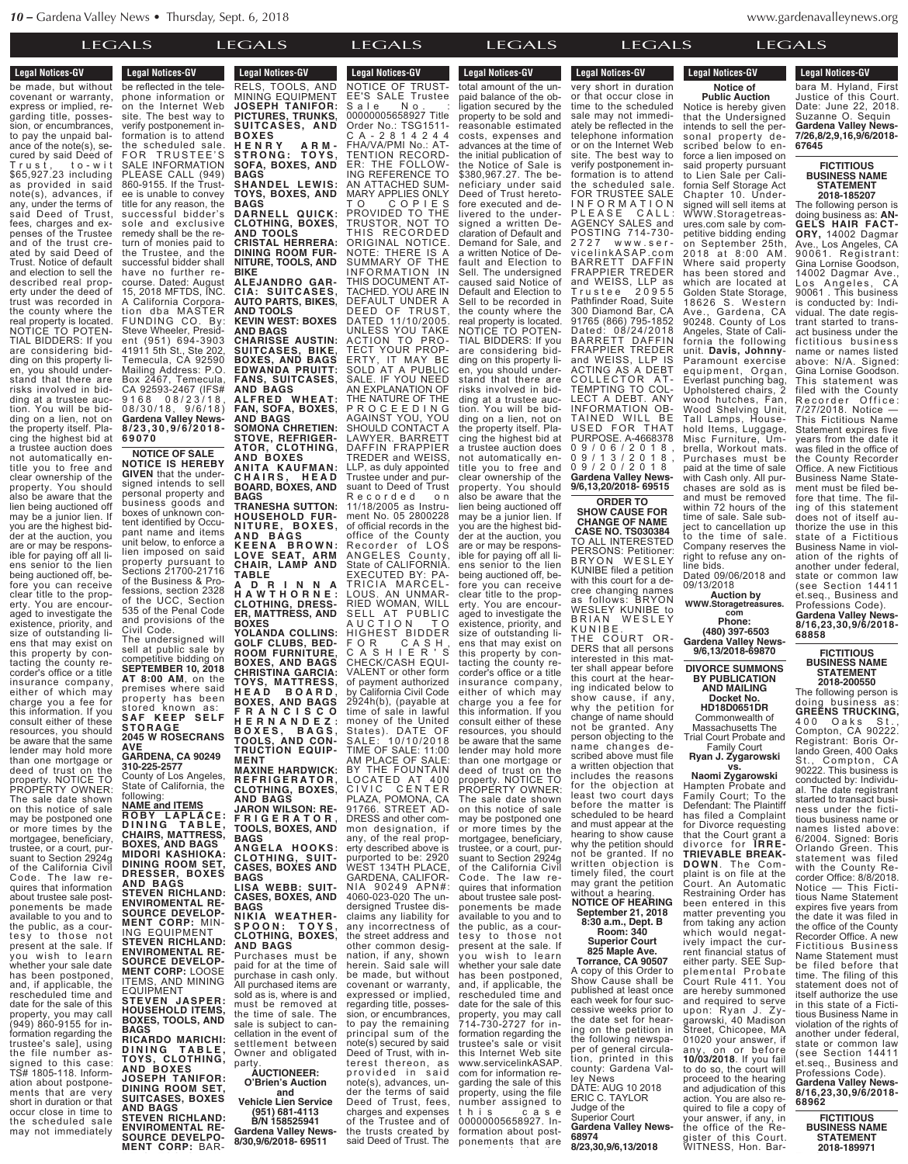$\lambda$  is contracted to the very set of  $\mathbf{r}$ 

short in duration of the set of the set of the set of the set of the set of the set of the set of the set of the set of the set of the set of the set of the set of the set of the set of the set of the set of the set of the occur close in time to **AVE Legal Notices-GV**  $\begin{array}{ccc} \text{LEC} \end{array}$ other common desig-Leyal Nullles-GV be made, but without covenant or warranty, express or implied, regarding title, possession, or encumbrances, to pay the unpaid balance of the note(s), secured by said Deed of  $T r u s t$  to - with T r u s t , t o - w i t \$65,927.23 including as provided in said note(s), advances, if any, under the terms of said Deed of Trust, fees, charges and expenses of the Trustee and of the trust created by said Deed of Trust. Notice of default and election to sell the described real property under the deed of trust was recorded in the county where the real property is located. NOTICE TO POTEN-TIAL BIDDERS: If are considering bidding on this property lien, you should understand that there are risks involved in bidding at a trustee auction. You will be bidding on a lien, not on the property itself. Placing the highest bid at a trustee auction does not automatically entitle you to free and clear ownership of the property. You should also be aware that the lien being auctioned off may be a junior lien. If you are the highest bidder at the auction, you are or may be responsible for paying off all liens senior to the lien being auctioned off, before you can receive clear title to the prop-<br>erty. You are encour-You are encouraged to investigate the existence, priority, and size of outstanding liens that may exist on this property by contacting the county recorder's office or a title insurance company, either of which may charge you a fee for this information. If you consult either of these resources, you should be aware that the same lender may hold more than one mortgage or deed of trust on the property. NOTICE TO PROPERTY OWNER: The sale date shown on this notice of sale may be postponed one or more times by the<br>mortgagee, beneficiary,

trustee, or a court, pursuant to Section 2924g of the California Civil Code. The law requires that information about trustee sale postponements be made available to you and to the public, as a courtesy to those not present at the sale. If vou wish to learn whether your sale date has been postponed, and, if applicable, the rescheduled time and date for the sale of this property, you may call (949) 860-9155 for information regarding the trustee's sale], using the file number assigned to this case: TS# 1805-118. Information about postponements that are very short in duration or that occur close in time to the scheduled sale

may not immediately

*<u>Degal Notices-GV</u>* **Legal Nutres-GV** RELS, TOOLS, AND MINING EQUIPMENT **JOSEPH TANIFOR: PICTURES, TRUNKS, SUITCASES, AND BOXES H E N R Y A R M - S T R O N G : T O Y S , SOFA, BOXES, AND BAGS SHANDEL LEWIS: TOYS, BOXES, AND BAGS BIKE Legal Notices-GV** Legal Notices-GV be reflected in the telephone information or on the Internet Web site. The best way to verify postponement information is to attend the scheduled sale. FOR TRUSTEE'S SALE INFORMATION PLEASE CALL (949) 860-9155. If the Trustee is unable to convey title for any reason, the successful bidder's sole and exclusive remedy shall be the return of monies paid to the Trustee, and the successful bidder shall have no further recourse. Dated: August 15, 2018 MFTDS, INC. A California Corporation dba MASTER FUNDING CO. By: Steve Wheeler, President (951) 694-3903 41911 5th St., Ste 202, Temecula, CA 92590 Mailing Address: P.O. Box 2467, Temecula, CA 92593-2467 (IFS# 9 1 6 8 0 8 / 2 3 / 1 8 , 0 8 / 3 0 / 1 8 , 9 / 6 / 1 8 ) Gardena Valley New **8 / 2 3 , 3 0 , 9 / 6 / 2 0 1 8 - 6 9 0 7 0 NOTICE OF SALE**

 $\overline{A}$ 

**STEVEN RICHLAND:**

**NOTICE IS HEREBY GIVEN** that the undersigned intends to sell personal property and business goods and boxes of unknown content identified by Occupant name and items unit below, to enforce a lien imposed on said property pursuant to Sections 21700-21716 of the Business & Professions, section 2328 of the UCC, Section 535 of the Penal Code and provisions of the Civil Code. The undersigned will sell at public sale by

**SEPTEMBER 10, 2018 AT 8:00 AM**, on the premises where said property has been stored known as: **S A F K EEP SEL F ST O R A G E 2045 W ROSECRANS**

**GARDENA, CA 90249 310-225-2577**

County of Los Angeles, State of California, the following:

**NAME and ITEMS R O B Y L A PL A C E : D I N I N G T A B L E , CHAIRS, MATTRESS, BOXES, AND BAGS MIDORI KASHIOKA: DINING ROOM SET, DRESSER, BOXES AND BAGS STEVEN RICHLAND: ENVIROMENTAL RE-SOURCE DEVELOP-MENT CORP:** MIN-ING EQUIPMENT **STEVEN RICHLAND: ENVIROMENTAL RE-SOURCE DEVELOP-MENT CORP:** LOOSE ITEMS, AND MINING EQUIPMENT **STEVEN JASPER: HOUSEHOLD ITEMS, BOXES, TOOLS, AND BAGS RICARDO MARICHI: D I N I N G T A B L E , TOYS, CLOTHING, AND BOXES JOSEPH TANIFOR: DINING ROOM SET, SUITCASES, BOXES AND BAGS**

**STEVEN RICHLAND: ENVIROMENTAL RE-SOURCE DEVELPO-MENT CORP:** BAR-

**DARNELL QUICK: CLOTHING, BOXES, AND TOOLS CRISTAL HERRERA: DINING ROOM FUR-NITURE, TOOLS, AND ALEJANDRO GAR-CIA: SUITCASES, AUTO PARTS, BIKES, AND TOOLS KEVIN WEST: BOXES AND BAGS CHARISSE AUSTIN: SUITCASES, BIKE, BOXES, AND BAGS EDWANDA PRUITT: FANS, SUITCASES, AND BAGS A L F R E D W H E A T : FAN, SOFA, BOXES, AND BAGS SOMONA CHRETIEN: STOVE, REFRIGER-ATOR, CLOTHING, AND BOXES ANITA KAUFMAN: C H A I R S , H E A D BOARD, BOXES, AND BAGS TRANESHA SUTTON: HOUSEHOLD FUR-N I T U R E, B O XES , A N D B A G S K E E N A B R O W N : LOVE SEAT, ARM CHAIR, LAMP AND TABLE A D R I N N A H A W T H O R N E : CLOTHING, DRESS-ER, MATTRESS, AND BOXES YOLANDA COLLINS: GOLF CLUBS, BED-ROOM FURNITURE, BOXES, AND BAGS CHRISTINA GARCIA: TOYS, MATTRESS, H E A D B O A R D , BOXES, AND BAGS F R A N C I S C O H E R N A N D E Z : B O X E S , B A G S , TOOLS, AND CON-TOOLS, AND CON-<br>TRUCTION EQUIP-MENT MAXINE HARDWICK: R E F R I G E R A T O R , CLOTHING, BOXES, AND BAGS JARON WILSON: RE-F R I G E R A T O R , TOOLS, BOXES, AND BAGS A NGEL A HOOK S: CLOTHING, SUIT-CASES, BOXES AND BAGS LISA WEBB: SUIT-CASES, BOXES, AND BAGS** competitive bidding on

**NIKIA WEATHER-S P O O N : T O Y S , CLOTHING, BOXES, AND BAGS** Purchases must be paid for at the time of purchase in cash only. All purchased items are sold as is, where is and must be removed at the time of sale. The sale is subject to cancellation in the event of settlement between Owner and obligated party. **AUCTIONEER:**

# **O'Brien's Auction and**

**Vehicle Lien Service (951) 681-4113 B/N 158525941**

**Gardena Valley News-8/30,9/6/2018- 69511**

**Legal Notices-GV** NOTICE OF TRUST-EE'S SALE Trustee Sale No. : **ENVIROMENTAL RE-**

00000005658927 Title Order No.: TSG1511- C A - 2 8 1 4 2 4 4 FHA/VA/PMI No.: AT-TENTION RECORD-ER: THE FOLLOW-ING REFERENCE TO AN ATTACHED SUM-MARY APPLIES ONLY T O C O P I E S PROVIDED TO THE TRUSTOR, NOT TO RECORDED ORIGINAL NOTICE. NOTE: THERE IS A SUMMARY OF THE INFORMATION IN THIS DOCUMENT AT-TACHED. YOU ARE IN DEFAULT UNDER A DEED OF TRUST, DATED 11/10/2005. UNLESS YOU TAKE ACTION TO PRO-TECT YOUR PROP-ERTY, IT MAY BE SOLD AT A PUBLIC SALE. IF YOU NEED AN EXPLANATION OF THE NATURE OF THE P R O C E E D I N G AGAINST YOU, YOU SHOULD CONTACT A LAWYER. BARRETT DAFFIN FRAPPIER TREDER and WEISS, LLP, as duly appointed Trustee under and pursuant to Deed of Trust R e c o r d e d o n  $11/18/2005$  as Instrument No. 05 2800228 of official records in the office of the County Recorder of LOS<br>ANGELES County, ANGELES County,<br>State of CALIFORNIA. EXECUTED BY: PA-TRICIA MARCEL-LOUS. AN UNMAR-RIED WOMAN, WILL SELL AT PUBLIC AUCTION TO HIGHEST BIDDER F O R C A S H , C A S H I E R ' S CHECK/CASH EQUI-VALENT or other form of payment authorized by California Civil Code 2924h(b), (payable at time of sale in lawful money of the United States). DATE OF SALE: 10/10/201 8 TIME OF SALE: 11:00 AM PLACE OF SALE: BY THE FOUNTAIN LOCATED AT 400 CIVIC CENTER PLAZA, POMONA, 91766. STREET AD-DRESS and other common designation, if any, of the real property described above is purported to be: 2920 WEST 134TH PLACE, GARDENA, CALIFOR-NIA 90249 APN#: 4060-023-020 The undersigned Trustee disclaims any liability for any incorrectness of the street address and other common designation, if any, shown herein. Said sale will be made, but without covenant or warranty, expressed or implied, regarding title, possession, or encumbrances to pay the remaining principal sum of the note(s) secured by said Deed of Trust, with inessed thereon, provided in said note(s), advances, under the terms of said Deed of Trust, fees, charges and expenses of the Trustee and of the trusts created by said Deed of Trust. The total amount of the un-

LEGALS LEGALS LEGALS LEGALS LEGALS LEGALS with this court for a deinterested in this matter shall appear before scribed above must file Judge of the **68974 8/23,30,9/6,13/2018 Legal Notices-GV** LEGALS of the Trustee and of Legal Nutrices-GV total amount of the unpaid balance of the obligation secured by the property to be sold and reasonable estimated costs, expenses and advances at the time of the initial publication of the Notice of Sale is \$380,967.27. The beneficiary under said Deed of Trust heretofore executed and delivered to the undersigned a written Declaration of Default and Demand for Sale, and a written Notice of Default and Election to Sell. The undersigned caused said Notice of Default and Election to Sell to be recorded in the county where the real property is located. NOTICE TO POTEN-TIAL BIDDERS: If are considering bidding on this property lien, you should understand that there are risks involved in bidding at a trustee auction. You will be bidding on a lien, not on the property itself. Placing the highest bid at a trustee auction does not automatically entitle you to free and clear ownership of the property. You should also be aware that the lien being auctioned off may be a junior lien. If you are the highest bidder at the auction, you are or may be responsible for paying off all liens senior to the lien being auctioned off, before you can receive clear title to the prop-<br>erty. You are encour-You are encouraged to investigate the existence, priority, and size of outstanding liens that may exist on this property by contacting the county recorder's office or a title insurance company, either of which may charge you a fee for this information. If you consult either of these resources, you should be aware that the same lender may hold more than one mortgage or deed of trust on the property. NOTICE TO PROPERTY OWNER: The sale date shown on this notice of sale may be postponed one or more times by the<br>mortgagee, beneficiary, mortgagee, beneficiary,<br>trustee, or a court, pursuant to Section 2924g of the California Civil Code. The law requires that information about trustee sale postponements be made available to you and to the public, as a courtesy to those not present at the sale. If you wish to learn whether your sale date has been postponed, and, if applicable, the rescheduled time and date for the sale of this property, you may call 714-730-2727 for information regarding the trustee's sale or visit this Internet Web site www.servicelinkASAP. com for information regarding the sale of this property, using the file number assigned to this case 00000005658927. Information about postponements that are

denavalleynews.org action. You are also re- $\Delta$  Fig.  $\sim$  6.1  $\sigma$ 

**Legal Notices-GV**

**Notice of Public Auction**

*Legal Notices-GV* 

**ORDER TO**

KUNIBE filed a petition

cree changing names as follows: BRYON WESLEY KUNIBE to BRIAN WESLEY

THE COURT OR-DERS that all persons

this court at the hearing indicated below to show cause, if any, why the petition for change of name should not be granted. Any person objecting to the name changes de-

a written objection that

**September 21, 2018 8:30 a.m., Dept. B Room: 340 Superior Court 825 Maple Ave. Torrance, CA 90507**

ley News

DATE: AUG 10 2018 ERIC C. TAYLOR

K U N I B E .

property, using the file  $\overline{\phantom{a}}$  if  $\overline{\phantom{a}}$  $t = L E G A$ 00000005658927. In-**Legal Nutices-GV** very short in duration or that occur close in

der the terms of said  $\overline{\phantom{a}}$   $\overline{\phantom{a}}$ 

> Notice is hereby given that the Undersigned intends to sell the personal property described below to enforce a lien imposed on said property pursuant to Lien Sale per California Self Storage Act Chapter 10. Undersigned will sell items at WWW.Storagetreasures.com sale by competitive bidding ending on September 25th, 2018 at 8:00 AM. Where said property has been stored and which are located at Golden State Storage, 18626 S. Western Ave., Gardena, CA 90248. County of Los Angeles, State of Cali-<br>fornia the following the following unit. **Davis, Johnny**-Paramount exercise equipment, Organ, Everlast punching bag, Upholstered chairs, 2 wood hutches, Fan, Wood Shelving Unit, Tall Lamps, Household Items, Luggage, Misc Furniture, Umbrella, Workout mats. Purchases must be paid at the time of sale with Cash only. All purchases are sold as is and must be removed within 72 hours of the time of sale. Sale subject to cancellation up to the time of sale. Company reserves the right to refuse any online bids. time to the scheduled sale may not immediately be reflected in the telephone information or on the Internet Web site. The best way to verify postponement information is to attend the scheduled sale. FOR TRUSTEE SALE I N F O R M A T I O N P L E A S E C A L L : AGENCY SALES and POSTING 714-730- 2 7 2 7 w w w . s e r v i c e l i n kASAP. c o m BARRETT DAFFIN FRAPPIER TREDER and WEISS, LLP as Trustee 20955 Pathfinder Road, Suite 300 Diamond Bar, CA 91765 (866) 795-1852 Dated: 08/24/2018 BARRETT DAFFIN FRAPPIER TREDER and WEISS, LLP IS ACTING AS A DEBT COLLECTOR AT-TEMPTING TO COL-LECT A DEBT. ANY INFORMATION OB-<br>TAINED WILL BE TAINED WILL BE USED FOR THAT PURPOSE. A-4668378 0 9 / 0 6 / 2 0 1 8 , 0 9 / 1 3 / 2 0 1 8 , 0 9 / 2 0 / 2 0 1 8 **Gardena Valley News-9/6,13,20/2018- 69515 SHOW CAUSE FOR CHANGE OF NAME CASE NO. TS030384** TO ALL INTERESTED PERSONS: Petitioner: BRYON WESLEY

Dated 09/06/2018 and 09/13/2018

**Auction by WWW.Storagetreasures. com Phone:**

**(480) 397-6503 Gardena Valley News-9/6,13/2018-69870**

**DIVORCE SUMMONS BY PUBLICATION AND MAILING Docket No.**

**HD18D0651DR** Commonwealth of Massachusetts The Trial Court Probate and

Family Court **Ryan J. Zygarowski vs.**

**Naomi Zygarowski** Hampten Probate and Family Court; To the Defendant: The Plaintiff has filed a Complaint for Divorce requesting that the Court grant a di vor ce for **IRRE-TRIEVABLE BREAK-DOWN**. The Complaint is on file at the Court. An Automatic Praint to on the at the<br>Court. An Automatic<br>Restraining Order has been entered in this matter preventing you from taking any action which would negatively impact the current financial status of either party. SEE Supplemental Probate Court Rule 411. You are hereby summoned and required to serve upon: Ryan J. Zygarowski, 40 Madison Street, Chicopee, MA 01020 your answer, if any, on or before **10/03/2018**. If you fail to do so, the court will proceed to the hearing and adjudication of this action. You are also required to file a copy of your answer, if any, in the office of the Register of this Court. WITNESS, Hon. Bar-<br> includes the reasons for the objection at least two court days before the matter is scheduled to be heard and must appear at the hearing to show cause why the petition should not be granted. If no written objection is timely filed, the court may grant the petition without a hearing. **NOTICE OF HEARING** A copy of this Order to Show Cause shall be published at least once each week for four successive weeks prior to the date set for hearing on the petition in the following newspaper of general circulation, printed in this county: Gardena Val-Superior Court **Gardena Valley News-**

**Legal Notices-GV** Legal Nutries-GV bara M. Hyland, First Justice of this Court. Date: June 22, 2018. Suzanne O. Sequin **Gardena Valley News-7/26,8/2,9,16,9/6/2018- 67645**

proceed to the hearing

 $\mathcal{A}$ LS and if any the office of the Re-

### **FICTITIOUS BUSINESS NAME STATEMENT 2018-185207**

The following person is doing business as: **AN-GELS HAIR FACT-ORY,** 14002 Dagmar Ave., Los Angeles, CA 90061. Registrant: Gina Lornise Goodson, 14002 Dagmar Ave., Los Angeles, CA 90061 . This business is conducted by: Individual. The date registrant started to transact business under the fictitious business name or names listed above: N/A. Signed: Gina Lornise Goodson. This statement was filed with the County Recorder Office: 7/27/2018. Notice — This Fictitious Name Statement expires five years from the date it was filed in the office of the County Recorder Office. A new Fictitious Business Name Statement must be filed before that time. The filing of this statement does not of itself authorize the use in this state of a Fictitious Business Name in violation of the rights of another under federal, state or common law (see Section 14411 et.seq., Business and Professions Code).

**Gardena Valley News-8/16,23,30,9/6/2018- 68858**

> **FICTITIOUS BUSINESS NAME STATEMENT 2018-200550**

The following person is

doing business as: **GREENS TRUCKING,** 400 Oaks St., Compton, CA 90222. Registrant: Boris Orlando Green, 400 Oaks St., Compton, CA 90222. This business is conducted by: Individual. The date registrant started to transact business under the fictitious business name or names listed above: 6/2004. Signed: Boris Orlando Green. This statement was filed with the County Recorder Office: 8/8/2018. Notice — This Fictitious Name Statement expires five years from the date it was filed in the office of the County Recorder Office. A new Fictitious Business Name Statement must be filed before that time. The filing of this statement does not of itself authorize the use in this state of a Fictitious Business Name in violation of the rights of another under federal, state or common law (see Section 14411 et.seq., Business and Professions Code). **Gardena Valley News-8/16,23,30,9/6/2018- 68962**

> **FICTITIOUS BUSINESS NAME STATEMENT 2018-189971**